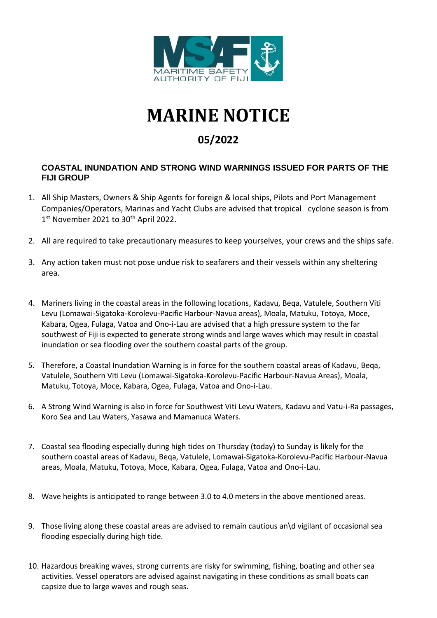

## **MARINE NOTICE**

## **05/2022**

## **COASTAL INUNDATION AND STRONG WIND WARNINGS ISSUED FOR PARTS OF THE FIJI GROUP**

- 1. All Ship Masters, Owners & Ship Agents for foreign & local ships, Pilots and Port Management Companies/Operators, Marinas and Yacht Clubs are advised that tropical cyclone season is from 1<sup>st</sup> November 2021 to 30<sup>th</sup> April 2022.
- 2. All are required to take precautionary measures to keep yourselves, your crews and the ships safe.
- 3. Any action taken must not pose undue risk to seafarers and their vessels within any sheltering area.
- 4. Mariners living in the coastal areas in the following locations, Kadavu, Beqa, Vatulele, Southern Viti Levu (Lomawai-Sigatoka-Korolevu-Pacific Harbour-Navua areas), Moala, Matuku, Totoya, Moce, Kabara, Ogea, Fulaga, Vatoa and Ono-i-Lau are advised that a high pressure system to the far southwest of Fiji is expected to generate strong winds and large waves which may result in coastal inundation or sea flooding over the southern coastal parts of the group.
- 5. Therefore, a Coastal Inundation Warning is in force for the southern coastal areas of Kadavu, Beqa, Vatulele, Southern Viti Levu (Lomawai-Sigatoka-Korolevu-Pacific Harbour-Navua Areas), Moala, Matuku, Totoya, Moce, Kabara, Ogea, Fulaga, Vatoa and Ono-i-Lau.
- 6. A Strong Wind Warning is also in force for Southwest Viti Levu Waters, Kadavu and Vatu-i-Ra passages, Koro Sea and Lau Waters, Yasawa and Mamanuca Waters.
- 7. Coastal sea flooding especially during high tides on Thursday (today) to Sunday is likely for the southern coastal areas of Kadavu, Beqa, Vatulele, Lomawai-Sigatoka-Korolevu-Pacific Harbour-Navua areas, Moala, Matuku, Totoya, Moce, Kabara, Ogea, Fulaga, Vatoa and Ono-i-Lau.
- 8. Wave heights is anticipated to range between 3.0 to 4.0 meters in the above mentioned areas.
- 9. Those living along these coastal areas are advised to remain cautious an\d vigilant of occasional sea flooding especially during high tide.
- 10. Hazardous breaking waves, strong currents are risky for swimming, fishing, boating and other sea activities. Vessel operators are advised against navigating in these conditions as small boats can capsize due to large waves and rough seas.